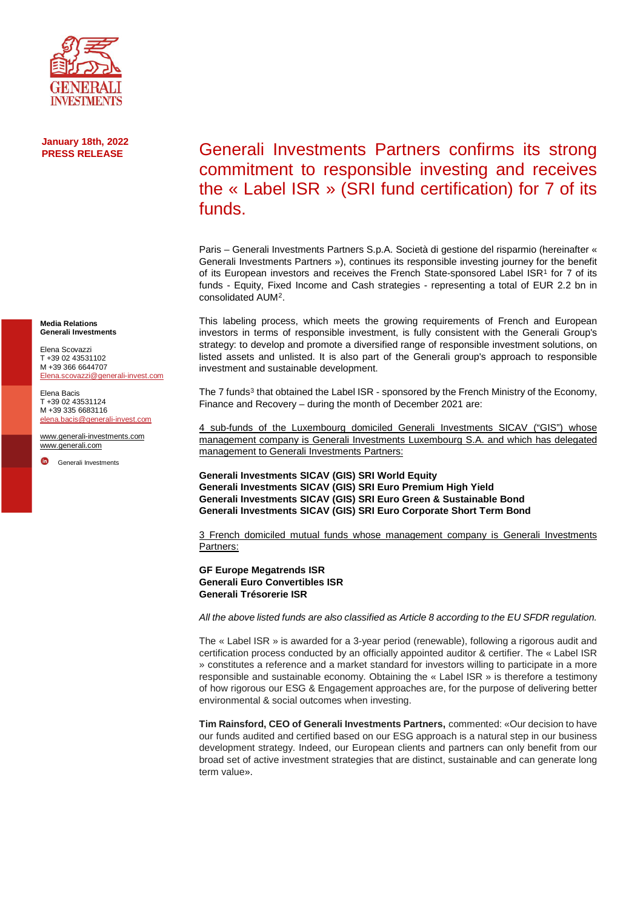

## **January 18th, 2022 PRESS RELEASE**

**Media Relations Generali Investments**

Elena Scovazzi T +39 02 43531102 M +39 366 6644707 [Elena.scovazzi@generali-invest.com](mailto:Elena.scovazzi@generali-invest.com)

Elena Bacis T +39 02 43531124 M +39 335 6683116 [elena.bacis@generali-invest.com](mailto:elena.bacis@generali-invest.com)

[www.generali-investments.com](http://www.generali-investments.com/) [www.generali.com](http://www.generali.com/)

[Generali Investments](https://www.linkedin.com/company/generali-investments/)

## Generali Investments Partners confirms its strong commitment to responsible investing and receives the « Label ISR » (SRI fund certification) for 7 of its funds.

Paris – Generali Investments Partners S.p.A. Società di gestione del risparmio (hereinafter « Generali Investments Partners »), continues its responsible investing journey for the benefit of its European investors and receives the French State-sponsored Label  $ISR<sup>1</sup>$  for 7 of its funds - Equity, Fixed Income and Cash strategies - representing a total of EUR 2.2 bn in consolidated AUM[2](#page-1-1).

This labeling process, which meets the growing requirements of French and European investors in terms of responsible investment, is fully consistent with the Generali Group's strategy: to develop and promote a diversified range of responsible investment solutions, on listed assets and unlisted. It is also part of the Generali group's approach to responsible investment and sustainable development.

The 7 funds<sup>[3](#page-1-2)</sup> that obtained the Label ISR - sponsored by the French Ministry of the Economy, Finance and Recovery – during the month of December 2021 are:

4 sub-funds of the Luxembourg domiciled Generali Investments SICAV ("GIS") whose management company is Generali Investments Luxembourg S.A. and which has delegated management to Generali Investments Partners:

**Generali Investments SICAV (GIS) SRI World Equity Generali Investments SICAV (GIS) SRI Euro Premium High Yield Generali Investments SICAV (GIS) SRI Euro Green & Sustainable Bond Generali Investments SICAV (GIS) SRI Euro Corporate Short Term Bond**

3 French domiciled mutual funds whose management company is Generali Investments Partners:

## **GF Europe Megatrends ISR Generali Euro Convertibles ISR Generali Trésorerie ISR**

*All the above listed funds are also classified as Article 8 according to the EU SFDR regulation.*

The « Label ISR » is awarded for a 3-year period (renewable), following a rigorous audit and certification process conducted by an officially appointed auditor & certifier. The « Label ISR » constitutes a reference and a market standard for investors willing to participate in a more responsible and sustainable economy. Obtaining the « Label ISR » is therefore a testimony of how rigorous our ESG & Engagement approaches are, for the purpose of delivering better environmental & social outcomes when investing.

**Tim Rainsford, CEO of Generali Investments Partners,** commented: «Our decision to have our funds audited and certified based on our ESG approach is a natural step in our business development strategy. Indeed, our European clients and partners can only benefit from our broad set of active investment strategies that are distinct, sustainable and can generate long term value».